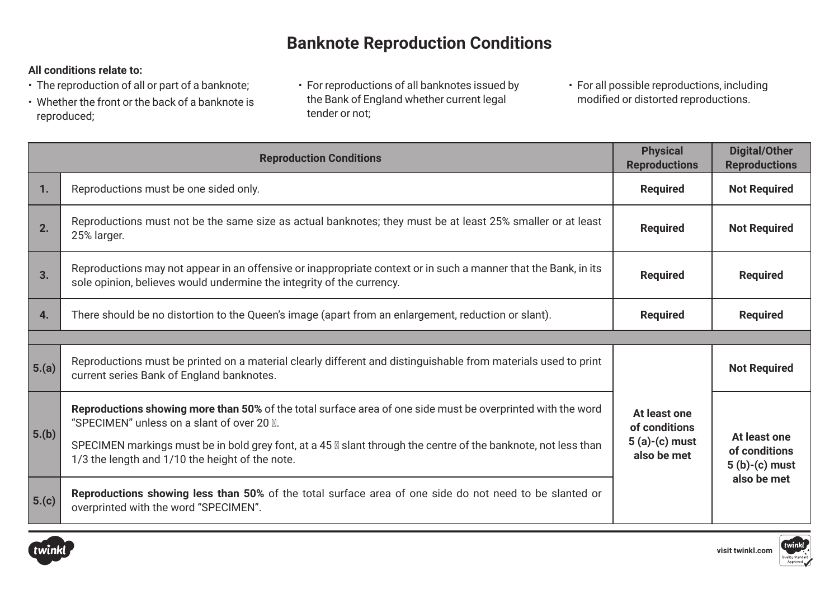# **Banknote Reproduction Conditions**

### **All conditions relate to:**

- The reproduction of all or part of a banknote;
- Whether the front or the back of a banknote is reproduced;
- For reproductions of all banknotes issued by the Bank of England whether current legal tender or not;
- For all possible reproductions, including modified or distorted reproductions.

| <b>Reproduction Conditions</b> |                                                                                                                                                                                                                                                                                                                                       | <b>Physical</b><br><b>Reproductions</b>                         | <b>Digital/Other</b><br><b>Reproductions</b>                    |
|--------------------------------|---------------------------------------------------------------------------------------------------------------------------------------------------------------------------------------------------------------------------------------------------------------------------------------------------------------------------------------|-----------------------------------------------------------------|-----------------------------------------------------------------|
| 1.                             | Reproductions must be one sided only.                                                                                                                                                                                                                                                                                                 | <b>Required</b>                                                 | <b>Not Required</b>                                             |
| 2.                             | Reproductions must not be the same size as actual banknotes; they must be at least 25% smaller or at least<br>25% larger.                                                                                                                                                                                                             | <b>Required</b>                                                 | <b>Not Required</b>                                             |
| 3.                             | Reproductions may not appear in an offensive or inappropriate context or in such a manner that the Bank, in its<br>sole opinion, believes would undermine the integrity of the currency.                                                                                                                                              | <b>Required</b>                                                 | <b>Required</b>                                                 |
| 4.                             | There should be no distortion to the Queen's image (apart from an enlargement, reduction or slant).                                                                                                                                                                                                                                   | <b>Required</b>                                                 | <b>Required</b>                                                 |
|                                |                                                                                                                                                                                                                                                                                                                                       |                                                                 |                                                                 |
| $\vert 5.(a) \vert$            | Reproductions must be printed on a material clearly different and distinguishable from materials used to print<br>current series Bank of England banknotes.                                                                                                                                                                           | At least one<br>of conditions<br>$5(a)-(c)$ must<br>also be met | <b>Not Required</b>                                             |
| 5.(b)                          | Reproductions showing more than 50% of the total surface area of one side must be overprinted with the word<br>"SPECIMEN" unless on a slant of over 20 A.<br>SPECIMEN markings must be in bold grey font, at a 45 <b>Ø</b> slant through the centre of the banknote, not less than<br>1/3 the length and 1/10 the height of the note. |                                                                 | At least one<br>of conditions<br>$5(b)-(c)$ must<br>also be met |
| 5.(c)                          | Reproductions showing less than 50% of the total surface area of one side do not need to be slanted or<br>overprinted with the word "SPECIMEN".                                                                                                                                                                                       |                                                                 |                                                                 |



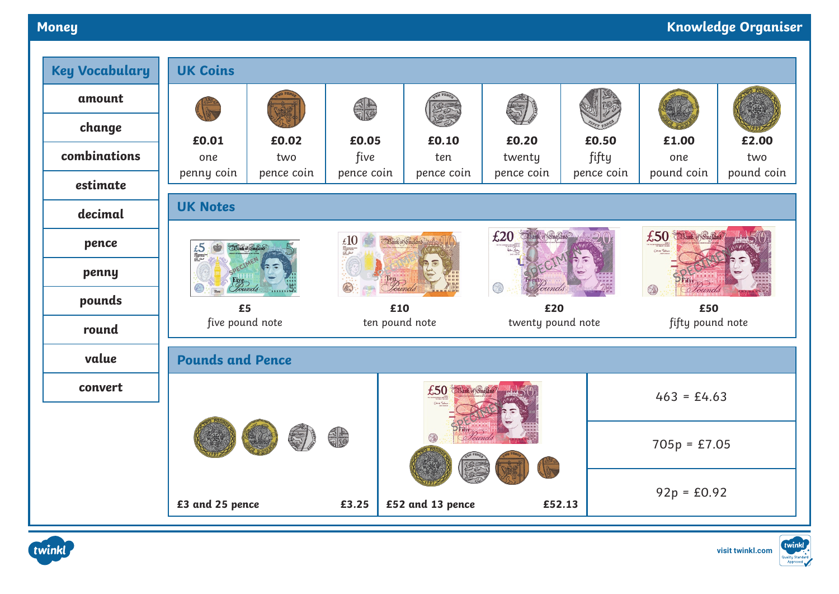# **Money Knowledge Organiser**